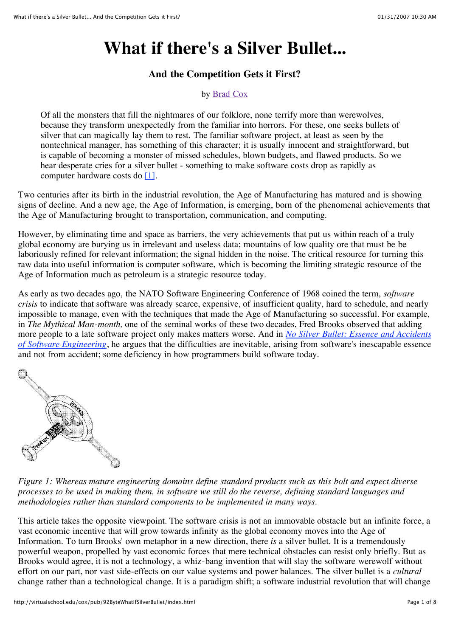# **What if there's a Silver Bullet...**

#### **And the Competition Gets it First?**

#### by Brad Cox

Of all the monsters that fill the nightmares of our folklore, none terrify more than werewolves, because they transform unexpectedly from the familiar into horrors. For these, one seeks bullets of silver that can magically lay them to rest. The familiar software project, at least as seen by the nontechnical manager, has something of this character; it is usually innocent and straightforward, but is capable of becoming a monster of missed schedules, blown budgets, and flawed products. So we hear desperate cries for a silver bullet - something to make software costs drop as rapidly as computer hardware costs do [1].

Two centuries after its birth in the industrial revolution, the Age of Manufacturing has matured and is showing signs of decline. And a new age, the Age of Information, is emerging, born of the phenomenal achievements that the Age of Manufacturing brought to transportation, communication, and computing.

However, by eliminating time and space as barriers, the very achievements that put us within reach of a truly global economy are burying us in irrelevant and useless data; mountains of low quality ore that must be be laboriously refined for relevant information; the signal hidden in the noise. The critical resource for turning this raw data into useful information is computer software, which is becoming the limiting strategic resource of the Age of Information much as petroleum is a strategic resource today.

As early as two decades ago, the NATO Software Engineering Conference of 1968 coined the term, *software crisis* to indicate that software was already scarce, expensive, of insufficient quality, hard to schedule, and nearly impossible to manage, even with the techniques that made the Age of Manufacturing so successful. For example, in *The Mythical Man-month,* one of the seminal works of these two decades, Fred Brooks observed that adding more people to a late software project only makes matters worse. And in *No Silver Bullet; Essence and Accidents of Software Engineering*, he argues that the difficulties are inevitable, arising from software's inescapable essence and not from accident; some deficiency in how programmers build software today.



*Figure 1: Whereas mature engineering domains define standard products such as this bolt and expect diverse processes to be used in making them, in software we still do the reverse, defining standard languages and methodologies rather than standard components to be implemented in many ways.*

This article takes the opposite viewpoint. The software crisis is not an immovable obstacle but an infinite force, a vast economic incentive that will grow towards infinity as the global economy moves into the Age of Information. To turn Brooks' own metaphor in a new direction, there *is* a silver bullet. It is a tremendously powerful weapon, propelled by vast economic forces that mere technical obstacles can resist only briefly. But as Brooks would agree, it is not a technology, a whiz-bang invention that will slay the software werewolf without effort on our part, nor vast side-effects on our value systems and power balances. The silver bullet is a *cultural* change rather than a technological change. It is a paradigm shift; a software industrial revolution that will change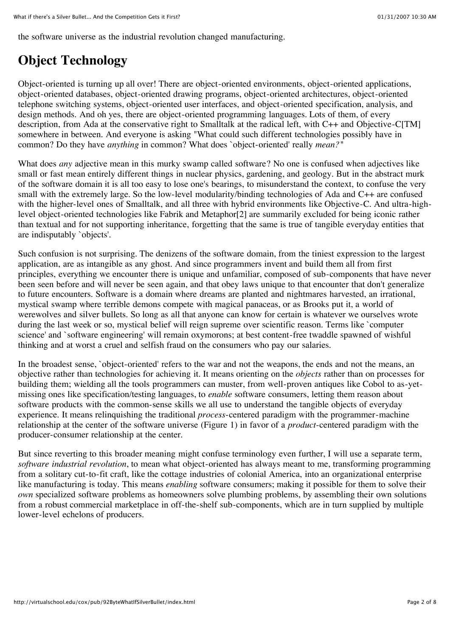the software universe as the industrial revolution changed manufacturing.

### **Object Technology**

Object-oriented is turning up all over! There are object-oriented environments, object-oriented applications, object-oriented databases, object-oriented drawing programs, object-oriented architectures, object-oriented telephone switching systems, object-oriented user interfaces, and object-oriented specification, analysis, and design methods. And oh yes, there are object-oriented programming languages. Lots of them, of every description, from Ada at the conservative right to Smalltalk at the radical left, with C++ and Objective-C[TM] somewhere in between. And everyone is asking "What could such different technologies possibly have in common? Do they have *anything* in common? What does `object-oriented' really *mean?"*

What does *any* adjective mean in this murky swamp called software? No one is confused when adjectives like small or fast mean entirely different things in nuclear physics, gardening, and geology. But in the abstract murk of the software domain it is all too easy to lose one's bearings, to misunderstand the context, to confuse the very small with the extremely large. So the low-level modularity/binding technologies of Ada and C++ are confused with the higher-level ones of Smalltalk, and all three with hybrid environments like Objective-C. And ultra-highlevel object-oriented technologies like Fabrik and Metaphor[2] are summarily excluded for being iconic rather than textual and for not supporting inheritance, forgetting that the same is true of tangible everyday entities that are indisputably `objects'.

Such confusion is not surprising. The denizens of the software domain, from the tiniest expression to the largest application, are as intangible as any ghost. And since programmers invent and build them all from first principles, everything we encounter there is unique and unfamiliar, composed of sub-components that have never been seen before and will never be seen again, and that obey laws unique to that encounter that don't generalize to future encounters. Software is a domain where dreams are planted and nightmares harvested, an irrational, mystical swamp where terrible demons compete with magical panaceas, or as Brooks put it, a world of werewolves and silver bullets. So long as all that anyone can know for certain is whatever we ourselves wrote during the last week or so, mystical belief will reign supreme over scientific reason. Terms like `computer science' and `software engineering' will remain oxymorons; at best content-free twaddle spawned of wishful thinking and at worst a cruel and selfish fraud on the consumers who pay our salaries.

In the broadest sense, `object-oriented' refers to the war and not the weapons, the ends and not the means, an objective rather than technologies for achieving it. It means orienting on the *objects* rather than on processes for building them; wielding all the tools programmers can muster, from well-proven antiques like Cobol to as-yetmissing ones like specification/testing languages, to *enable* software consumers, letting them reason about software products with the common-sense skills we all use to understand the tangible objects of everyday experience. It means relinquishing the traditional *process*-centered paradigm with the programmer-machine relationship at the center of the software universe (Figure 1) in favor of a *product*-centered paradigm with the producer-consumer relationship at the center.

But since reverting to this broader meaning might confuse terminology even further, I will use a separate term, *software industrial revolution*, to mean what object-oriented has always meant to me, transforming programming from a solitary cut-to-fit craft, like the cottage industries of colonial America, into an organizational enterprise like manufacturing is today. This means *enabling* software consumers; making it possible for them to solve their *own* specialized software problems as homeowners solve plumbing problems, by assembling their own solutions from a robust commercial marketplace in off-the-shelf sub-components, which are in turn supplied by multiple lower-level echelons of producers.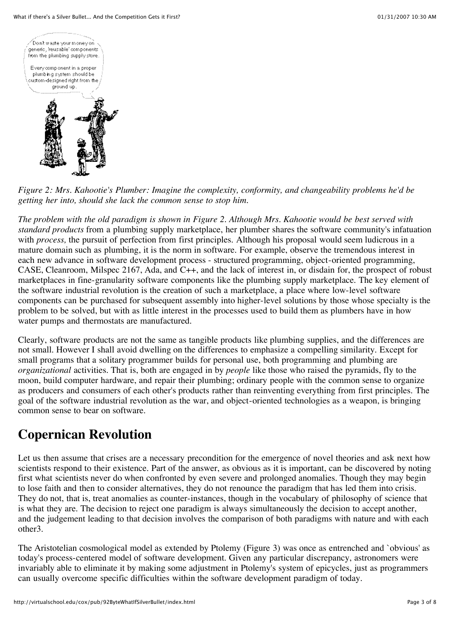

*Figure 2: Mrs. Kahootie's Plumber: Imagine the complexity, conformity, and changeability problems he'd be getting her into, should she lack the common sense to stop him.*

*The problem with the old paradigm is shown in Figure 2. Although Mrs. Kahootie would be best served with standard products* from a plumbing supply marketplace, her plumber shares the software community's infatuation with *process*, the pursuit of perfection from first principles. Although his proposal would seem ludicrous in a mature domain such as plumbing, it is the norm in software. For example, observe the tremendous interest in each new advance in software development process - structured programming, object-oriented programming, CASE, Cleanroom, Milspec 2167, Ada, and C++, and the lack of interest in, or disdain for, the prospect of robust marketplaces in fine-granularity software components like the plumbing supply marketplace. The key element of the software industrial revolution is the creation of such a marketplace, a place where low-level software components can be purchased for subsequent assembly into higher-level solutions by those whose specialty is the problem to be solved, but with as little interest in the processes used to build them as plumbers have in how water pumps and thermostats are manufactured.

Clearly, software products are not the same as tangible products like plumbing supplies, and the differences are not small. However I shall avoid dwelling on the differences to emphasize a compelling similarity. Except for small programs that a solitary programmer builds for personal use, both programming and plumbing are *organizational* activities. That is, both are engaged in by *people* like those who raised the pyramids, fly to the moon, build computer hardware, and repair their plumbing; ordinary people with the common sense to organize as producers and consumers of each other's products rather than reinventing everything from first principles. The goal of the software industrial revolution as the war, and object-oriented technologies as a weapon, is bringing common sense to bear on software.

## **Copernican Revolution**

Let us then assume that crises are a necessary precondition for the emergence of novel theories and ask next how scientists respond to their existence. Part of the answer, as obvious as it is important, can be discovered by noting first what scientists never do when confronted by even severe and prolonged anomalies. Though they may begin to lose faith and then to consider alternatives, they do not renounce the paradigm that has led them into crisis. They do not, that is, treat anomalies as counter-instances, though in the vocabulary of philosophy of science that is what they are. The decision to reject one paradigm is always simultaneously the decision to accept another, and the judgement leading to that decision involves the comparison of both paradigms with nature and with each other3.

The Aristotelian cosmological model as extended by Ptolemy (Figure 3) was once as entrenched and `obvious' as today's process-centered model of software development. Given any particular discrepancy, astronomers were invariably able to eliminate it by making some adjustment in Ptolemy's system of epicycles, just as programmers can usually overcome specific difficulties within the software development paradigm of today.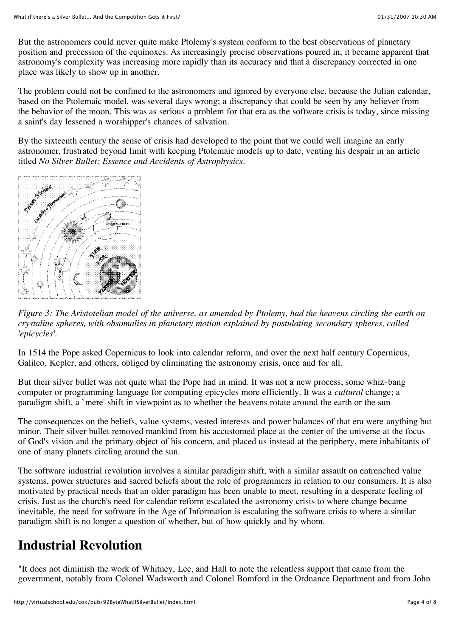But the astronomers could never quite make Ptolemy's system conform to the best observations of planetary position and precession of the equinoxes. As increasingly precise observations poured in, it became apparent that astronomy's complexity was increasing more rapidly than its accuracy and that a discrepancy corrected in one place was likely to show up in another.

The problem could not be confined to the astronomers and ignored by everyone else, because the Julian calendar, based on the Ptolemaic model, was several days wrong; a discrepancy that could be seen by any believer from the behavior of the moon. This was as serious a problem for that era as the software crisis is today, since missing a saint's day lessened a worshipper's chances of salvation.

By the sixteenth century the sense of crisis had developed to the point that we could well imagine an early astronomer, frustrated beyond limit with keeping Ptolemaic models up to date, venting his despair in an article titled *No Silver Bullet; Essence and Accidents of Astrophysics*.



*Figure 3: The Aristotelian model of the universe, as amended by Ptolemy, had the heavens circling the earth on crystaline spheres, with obsomalies in planetary motion explained by postulating secondary spheres, called 'epicycles'.*

In 1514 the Pope asked Copernicus to look into calendar reform, and over the next half century Copernicus, Galileo, Kepler, and others, obliged by eliminating the astronomy crisis, once and for all.

But their silver bullet was not quite what the Pope had in mind. It was not a new process, some whiz-bang computer or programming language for computing epicycles more efficiently. It was a *cultural* change; a paradigm shift, a `mere' shift in viewpoint as to whether the heavens rotate around the earth or the sun

The consequences on the beliefs, value systems, vested interests and power balances of that era were anything but minor. Their silver bullet removed mankind from his accustomed place at the center of the universe at the focus of God's vision and the primary object of his concern, and placed us instead at the periphery, mere inhabitants of one of many planets circling around the sun.

The software industrial revolution involves a similar paradigm shift, with a similar assault on entrenched value systems, power structures and sacred beliefs about the role of programmers in relation to our consumers. It is also motivated by practical needs that an older paradigm has been unable to meet, resulting in a desperate feeling of crisis. Just as the church's need for calendar reform escalated the astronomy crisis to where change became inevitable, the need for software in the Age of Information is escalating the software crisis to where a similar paradigm shift is no longer a question of whether, but of how quickly and by whom.

### **Industrial Revolution**

"It does not diminish the work of Whitney, Lee, and Hall to note the relentless support that came from the government, notably from Colonel Wadsworth and Colonel Bomford in the Ordnance Department and from John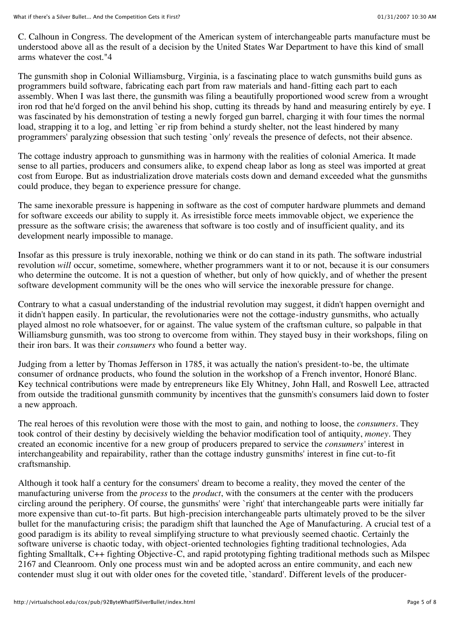C. Calhoun in Congress. The development of the American system of interchangeable parts manufacture must be understood above all as the result of a decision by the United States War Department to have this kind of small arms whatever the cost."4

The gunsmith shop in Colonial Williamsburg, Virginia, is a fascinating place to watch gunsmiths build guns as programmers build software, fabricating each part from raw materials and hand-fitting each part to each assembly. When I was last there, the gunsmith was filing a beautifully proportioned wood screw from a wrought iron rod that he'd forged on the anvil behind his shop, cutting its threads by hand and measuring entirely by eye. I was fascinated by his demonstration of testing a newly forged gun barrel, charging it with four times the normal load, strapping it to a log, and letting `er rip from behind a sturdy shelter, not the least hindered by many programmers' paralyzing obsession that such testing `only' reveals the presence of defects, not their absence.

The cottage industry approach to gunsmithing was in harmony with the realities of colonial America. It made sense to all parties, producers and consumers alike, to expend cheap labor as long as steel was imported at great cost from Europe. But as industrialization drove materials costs down and demand exceeded what the gunsmiths could produce, they began to experience pressure for change.

The same inexorable pressure is happening in software as the cost of computer hardware plummets and demand for software exceeds our ability to supply it. As irresistible force meets immovable object, we experience the pressure as the software crisis; the awareness that software is too costly and of insufficient quality, and its development nearly impossible to manage.

Insofar as this pressure is truly inexorable, nothing we think or do can stand in its path. The software industrial revolution *will* occur, sometime, somewhere, whether programmers want it to or not, because it is our consumers who determine the outcome. It is not a question of whether, but only of how quickly, and of whether the present software development community will be the ones who will service the inexorable pressure for change.

Contrary to what a casual understanding of the industrial revolution may suggest, it didn't happen overnight and it didn't happen easily. In particular, the revolutionaries were not the cottage-industry gunsmiths, who actually played almost no role whatsoever, for or against. The value system of the craftsman culture, so palpable in that Williamsburg gunsmith, was too strong to overcome from within. They stayed busy in their workshops, filing on their iron bars. It was their *consumers* who found a better way.

Judging from a letter by Thomas Jefferson in 1785, it was actually the nation's president-to-be, the ultimate consumer of ordnance products, who found the solution in the workshop of a French inventor, Honoré Blanc. Key technical contributions were made by entrepreneurs like Ely Whitney, John Hall, and Roswell Lee, attracted from outside the traditional gunsmith community by incentives that the gunsmith's consumers laid down to foster a new approach.

The real heroes of this revolution were those with the most to gain, and nothing to loose, the *consumers*. They took control of their destiny by decisively wielding the behavior modification tool of antiquity, *money*. They created an economic incentive for a new group of producers prepared to service the *consumers'* interest in interchangeability and repairability, rather than the cottage industry gunsmiths' interest in fine cut-to-fit craftsmanship.

Although it took half a century for the consumers' dream to become a reality, they moved the center of the manufacturing universe from the *process* to the *product*, with the consumers at the center with the producers circling around the periphery. Of course, the gunsmiths' were `right' that interchangeable parts were initially far more expensive than cut-to-fit parts. But high-precision interchangeable parts ultimately proved to be the silver bullet for the manufacturing crisis; the paradigm shift that launched the Age of Manufacturing. A crucial test of a good paradigm is its ability to reveal simplifying structure to what previously seemed chaotic. Certainly the software universe is chaotic today, with object-oriented technologies fighting traditional technologies, Ada fighting Smalltalk, C++ fighting Objective-C, and rapid prototyping fighting traditional methods such as Milspec 2167 and Cleanroom. Only one process must win and be adopted across an entire community, and each new contender must slug it out with older ones for the coveted title, `standard'. Different levels of the producer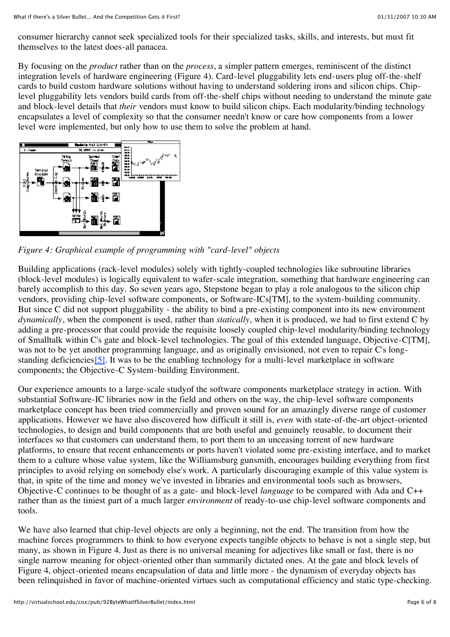consumer hierarchy cannot seek specialized tools for their specialized tasks, skills, and interests, but must fit themselves to the latest does-all panacea.

By focusing on the *product* rather than on the *process*, a simpler pattern emerges, reminiscent of the distinct integration levels of hardware engineering (Figure 4). Card-level pluggability lets end-users plug off-the-shelf cards to build custom hardware solutions without having to understand soldering irons and silicon chips. Chiplevel pluggability lets vendors build cards from off-the-shelf chips without needing to understand the minute gate and block-level details that *their* vendors must know to build silicon chips. Each modularity/binding technology encapsulates a level of complexity so that the consumer needn't know or care how components from a lower level were implemented, but only how to use them to solve the problem at hand.



*Figure 4: Graphical example of programming with "card-level" objects*

Building applications (rack-level modules) solely with tightly-coupled technologies like subroutine libraries (block-level modules) is logically equivalent to wafer-scale integration, something that hardware engineering can barely accomplish to this day. So seven years ago, Stepstone began to play a role analogous to the silicon chip vendors, providing chip-level software components, or Software-ICs[TM], to the system-building community. But since C did not support pluggability - the ability to bind a pre-existing component into its new environment *dynamically*, when the component is used, rather than *statically*, when it is produced, we had to first extend C by adding a pre-processor that could provide the requisite loosely coupled chip-level modularity/binding technology of Smalltalk within C's gate and block-level technologies. The goal of this extended language, Objective-C[TM], was not to be yet another programming language, and as originally envisioned, not even to repair C's longstanding deficiencies [5]. It was to be the enabling technology for a multi-level marketplace in software components; the Objective-C System-building Environment.

Our experience amounts to a large-scale studyof the software components marketplace strategy in action. With substantial Software-IC libraries now in the field and others on the way, the chip-level software components marketplace concept has been tried commercially and proven sound for an amazingly diverse range of customer applications. However we have also discovered how difficult it still is, *even* with state-of-the-art object-oriented technologies, to design and build components that are both useful and genuinely reusable, to document their interfaces so that customers can understand them, to port them to an unceasing torrent of new hardware platforms, to ensure that recent enhancements or ports haven't violated some pre-existing interface, and to market them to a culture whose value system, like the Williamsburg gunsmith, encourages building everything from first principles to avoid relying on somebody else's work. A particularly discouraging example of this value system is that, in spite of the time and money we've invested in libraries and environmental tools such as browsers, Objective-C continues to be thought of as a gate- and block-level *language* to be compared with Ada and C++ rather than as the tiniest part of a much larger *environment* of ready-to-use chip-level software components and tools.

We have also learned that chip-level objects are only a beginning, not the end. The transition from how the machine forces programmers to think to how everyone expects tangible objects to behave is not a single step, but many, as shown in Figure 4. Just as there is no universal meaning for adjectives like small or fast, there is no single narrow meaning for object-oriented other than summarily dictated ones. At the gate and block levels of Figure 4, object-oriented means encapsulation of data and little more - the dynamism of everyday objects has been relinquished in favor of machine-oriented virtues such as computational efficiency and static type-checking.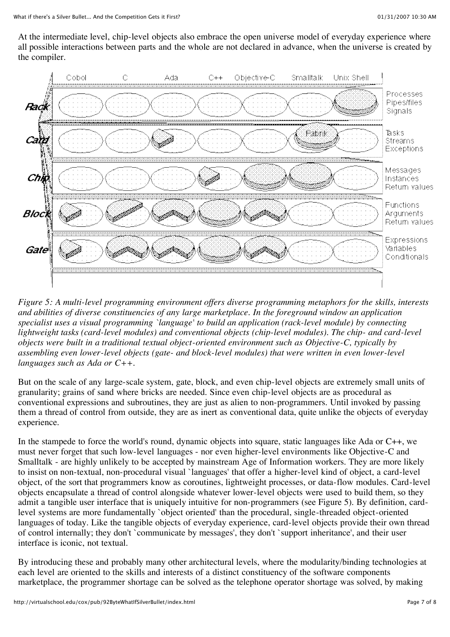At the intermediate level, chip-level objects also embrace the open universe model of everyday experience where all possible interactions between parts and the whole are not declared in advance, when the universe is created by the compiler.



*Figure 5: A multi-level programming environment offers diverse programming metaphors for the skills, interests and abilities of diverse constituencies of any large marketplace. In the foreground window an application specialist uses a visual programming `language' to build an application (rack-level module) by connecting lightweight tasks (card-level modules) and conventional objects (chip-level modules). The chip- and card-level objects were built in a traditional textual object-oriented environment such as Objective-C, typically by assembling even lower-level objects (gate- and block-level modules) that were written in even lower-level languages such as Ada or C++.*

But on the scale of any large-scale system, gate, block, and even chip-level objects are extremely small units of granularity; grains of sand where bricks are needed. Since even chip-level objects are as procedural as conventional expressions and subroutines, they are just as alien to non-programmers. Until invoked by passing them a thread of control from outside, they are as inert as conventional data, quite unlike the objects of everyday experience.

In the stampede to force the world's round, dynamic objects into square, static languages like Ada or C++, we must never forget that such low-level languages - nor even higher-level environments like Objective-C and Smalltalk - are highly unlikely to be accepted by mainstream Age of Information workers. They are more likely to insist on non-textual, non-procedural visual `languages' that offer a higher-level kind of object, a card-level object, of the sort that programmers know as coroutines, lightweight processes, or data-flow modules. Card-level objects encapsulate a thread of control alongside whatever lower-level objects were used to build them, so they admit a tangible user interface that is uniquely intuitive for non-programmers (see Figure 5). By definition, cardlevel systems are more fundamentally `object oriented' than the procedural, single-threaded object-oriented languages of today. Like the tangible objects of everyday experience, card-level objects provide their own thread of control internally; they don't `communicate by messages', they don't `support inheritance', and their user interface is iconic, not textual.

By introducing these and probably many other architectural levels, where the modularity/binding technologies at each level are oriented to the skills and interests of a distinct constituency of the software components marketplace, the programmer shortage can be solved as the telephone operator shortage was solved, by making